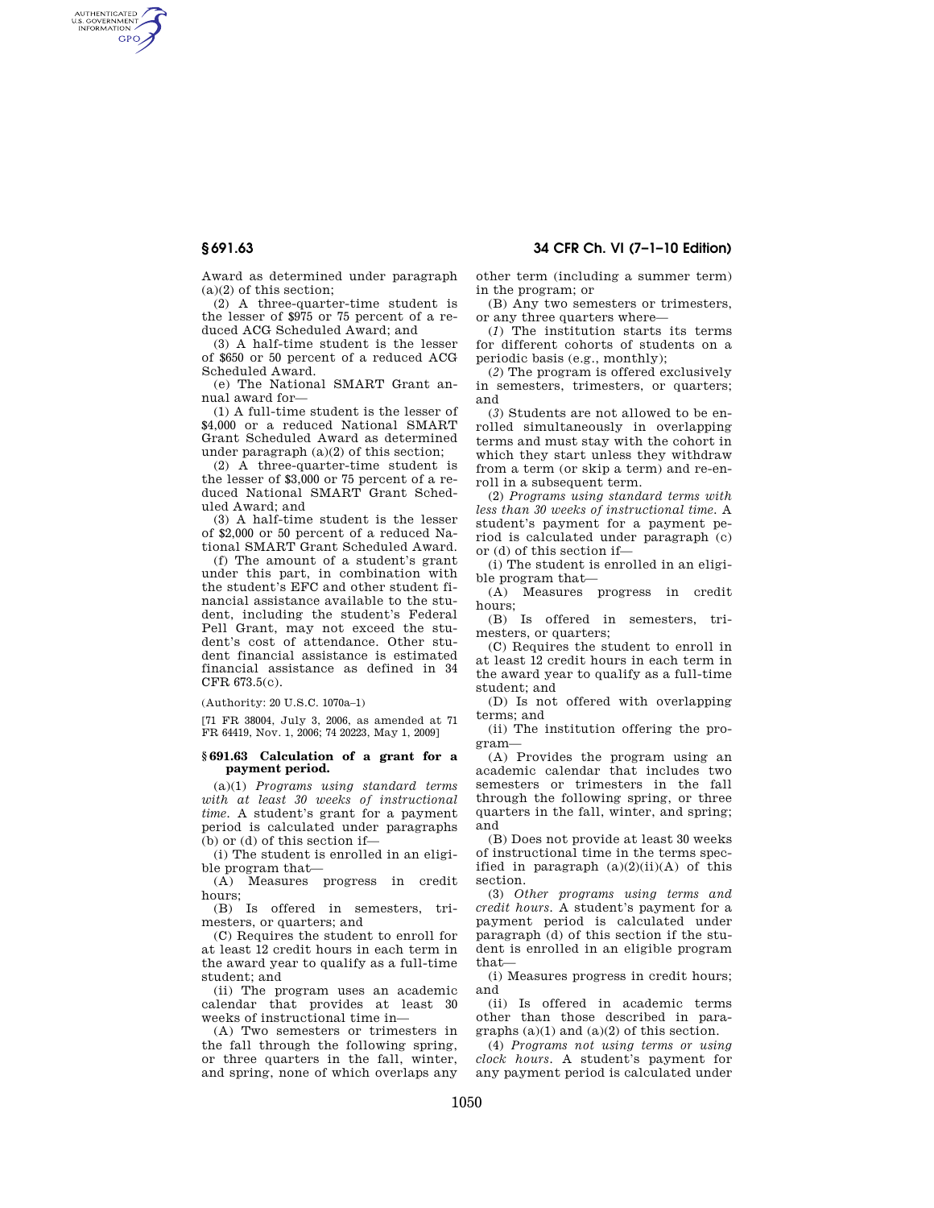## **§ 691.63 34 CFR Ch. VI (7–1–10 Edition)**

AUTHENTICATED<br>U.S. GOVERNMENT<br>INFORMATION **GPO** 

> Award as determined under paragraph (a)(2) of this section;

> (2) A three-quarter-time student is the lesser of \$975 or 75 percent of a reduced ACG Scheduled Award; and

> (3) A half-time student is the lesser of \$650 or 50 percent of a reduced ACG Scheduled Award.

> (e) The National SMART Grant annual award for—

> (1) A full-time student is the lesser of \$4,000 or a reduced National SMART Grant Scheduled Award as determined under paragraph (a)(2) of this section;

> (2) A three-quarter-time student is the lesser of \$3,000 or 75 percent of a reduced National SMART Grant Scheduled Award; and

> (3) A half-time student is the lesser of \$2,000 or 50 percent of a reduced National SMART Grant Scheduled Award.

> (f) The amount of a student's grant under this part, in combination with the student's EFC and other student financial assistance available to the student, including the student's Federal Pell Grant, may not exceed the student's cost of attendance. Other student financial assistance is estimated financial assistance as defined in 34 CFR 673.5(c).

 $(Authority: 20 II S.C. 1070a-1)$ 

[71 FR 38004, July 3, 2006, as amended at 71 FR 64419, Nov. 1, 2006; 74 20223, May 1, 2009]

#### **§ 691.63 Calculation of a grant for a payment period.**

(a)(1) *Programs using standard terms with at least 30 weeks of instructional time.* A student's grant for a payment period is calculated under paragraphs (b) or (d) of this section if—

(i) The student is enrolled in an eligible program that—

(A) Measures progress in credit hours;

(B) Is offered in semesters, trimesters, or quarters; and

(C) Requires the student to enroll for at least 12 credit hours in each term in the award year to qualify as a full-time student; and

(ii) The program uses an academic calendar that provides at least 30 weeks of instructional time in—

(A) Two semesters or trimesters in the fall through the following spring, or three quarters in the fall, winter, and spring, none of which overlaps any other term (including a summer term) in the program; or

(B) Any two semesters or trimesters, or any three quarters where—

(*1*) The institution starts its terms for different cohorts of students on a periodic basis (e.g., monthly);

(*2*) The program is offered exclusively in semesters, trimesters, or quarters; and

(*3*) Students are not allowed to be enrolled simultaneously in overlapping terms and must stay with the cohort in which they start unless they withdraw from a term (or skip a term) and re-enroll in a subsequent term.

(2) *Programs using standard terms with less than 30 weeks of instructional time.* A student's payment for a payment period is calculated under paragraph (c) or (d) of this section if—

(i) The student is enrolled in an eligible program that—

(A) Measures progress in credit hours;

(B) Is offered in semesters, trimesters, or quarters;

(C) Requires the student to enroll in at least 12 credit hours in each term in the award year to qualify as a full-time student; and

(D) Is not offered with overlapping terms; and

(ii) The institution offering the program—

(A) Provides the program using an academic calendar that includes two semesters or trimesters in the fall through the following spring, or three quarters in the fall, winter, and spring; and

(B) Does not provide at least 30 weeks of instructional time in the terms specified in paragraph  $(a)(2)(ii)(A)$  of this section.

(3) *Other programs using terms and credit hours.* A student's payment for a payment period is calculated under paragraph (d) of this section if the student is enrolled in an eligible program that—

(i) Measures progress in credit hours; and

(ii) Is offered in academic terms other than those described in paragraphs  $(a)(1)$  and  $(a)(2)$  of this section.

(4) *Programs not using terms or using clock hours.* A student's payment for any payment period is calculated under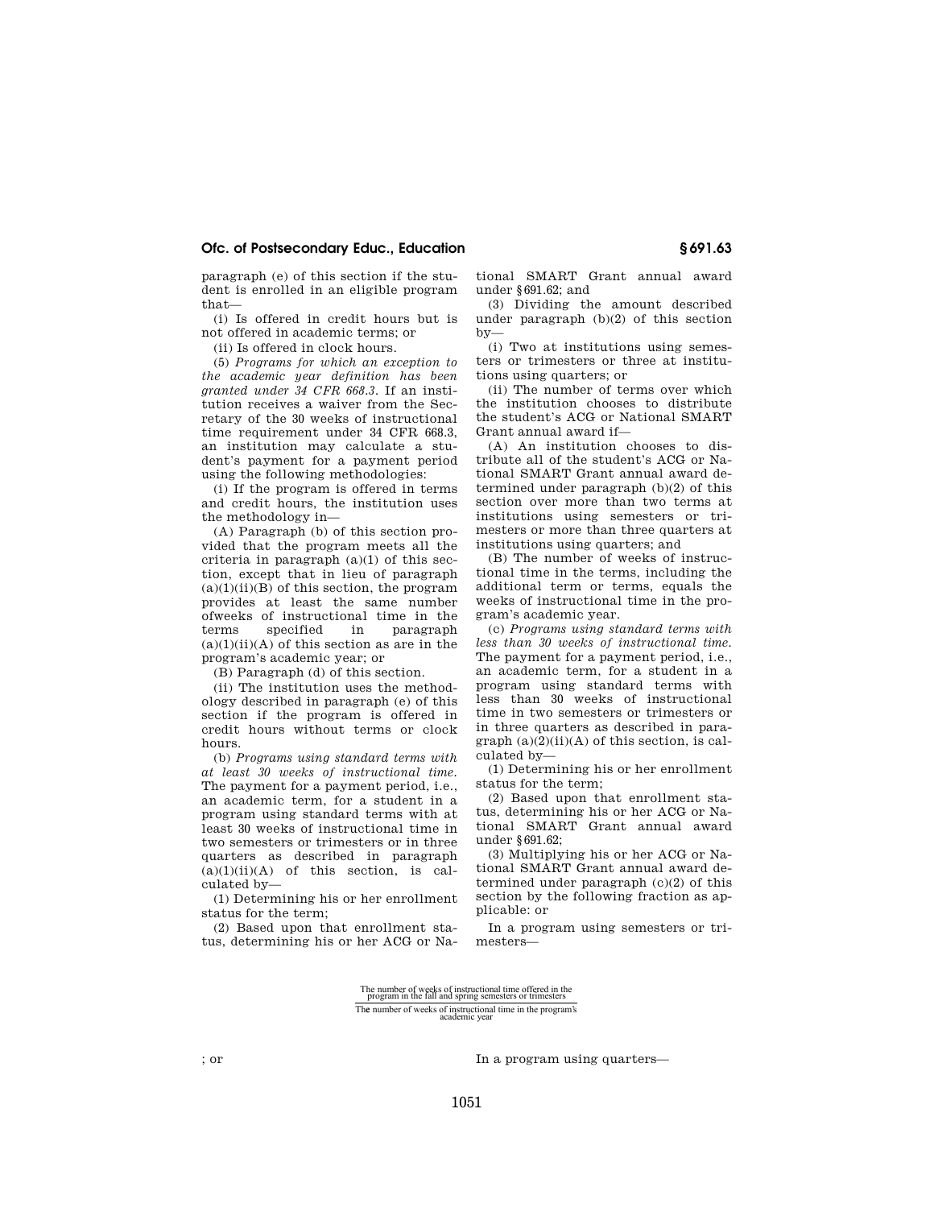### **Ofc. of Postsecondary Educ., Education § 691.63**

paragraph (e) of this section if the student is enrolled in an eligible program that—

(i) Is offered in credit hours but is not offered in academic terms; or

(ii) Is offered in clock hours.

(5) *Programs for which an exception to the academic year definition has been granted under 34 CFR 668.3.* If an institution receives a waiver from the Secretary of the 30 weeks of instructional time requirement under 34 CFR 668.3, an institution may calculate a student's payment for a payment period using the following methodologies:

(i) If the program is offered in terms and credit hours, the institution uses the methodology in—

(A) Paragraph (b) of this section provided that the program meets all the criteria in paragraph  $(a)(1)$  of this section, except that in lieu of paragraph  $(a)(1)(ii)(B)$  of this section, the program provides at least the same number ofweeks of instructional time in the terms specified in paragraph  $(a)(1)(ii)(A)$  of this section as are in the program's academic year; or

(B) Paragraph (d) of this section.

(ii) The institution uses the methodology described in paragraph (e) of this section if the program is offered in credit hours without terms or clock hours.

(b) *Programs using standard terms with at least 30 weeks of instructional time.*  The payment for a payment period, i.e., an academic term, for a student in a program using standard terms with at least 30 weeks of instructional time in two semesters or trimesters or in three quarters as described in paragraph  $(a)(1)(ii)(A)$  of this section, is calculated by—

(1) Determining his or her enrollment status for the term;

(2) Based upon that enrollment status, determining his or her ACG or National SMART Grant annual award under §691.62; and

(3) Dividing the amount described under paragraph (b)(2) of this section by—

(i) Two at institutions using semesters or trimesters or three at institutions using quarters; or

(ii) The number of terms over which the institution chooses to distribute the student's ACG or National SMART Grant annual award if—

(A) An institution chooses to distribute all of the student's ACG or National SMART Grant annual award determined under paragraph (b)(2) of this section over more than two terms at institutions using semesters or trimesters or more than three quarters at institutions using quarters; and

(B) The number of weeks of instructional time in the terms, including the additional term or terms, equals the weeks of instructional time in the program's academic year.

(c) *Programs using standard terms with less than 30 weeks of instructional time.*  The payment for a payment period, i.e., an academic term, for a student in a program using standard terms with less than 30 weeks of instructional time in two semesters or trimesters or in three quarters as described in para $graph (a)(2)(ii)(A)$  of this section, is calculated by—

(1) Determining his or her enrollment status for the term;

(2) Based upon that enrollment status, determining his or her ACG or National SMART Grant annual award under §691.62;

(3) Multiplying his or her ACG or National SMART Grant annual award determined under paragraph (c)(2) of this section by the following fraction as applicable: or

In a program using semesters or trimesters—

The number of weeks of instructional time offered in the program in the fall and spring semesters or trimesters The number of weeks of instructional time in the program's academic year

; or In a program using quarters—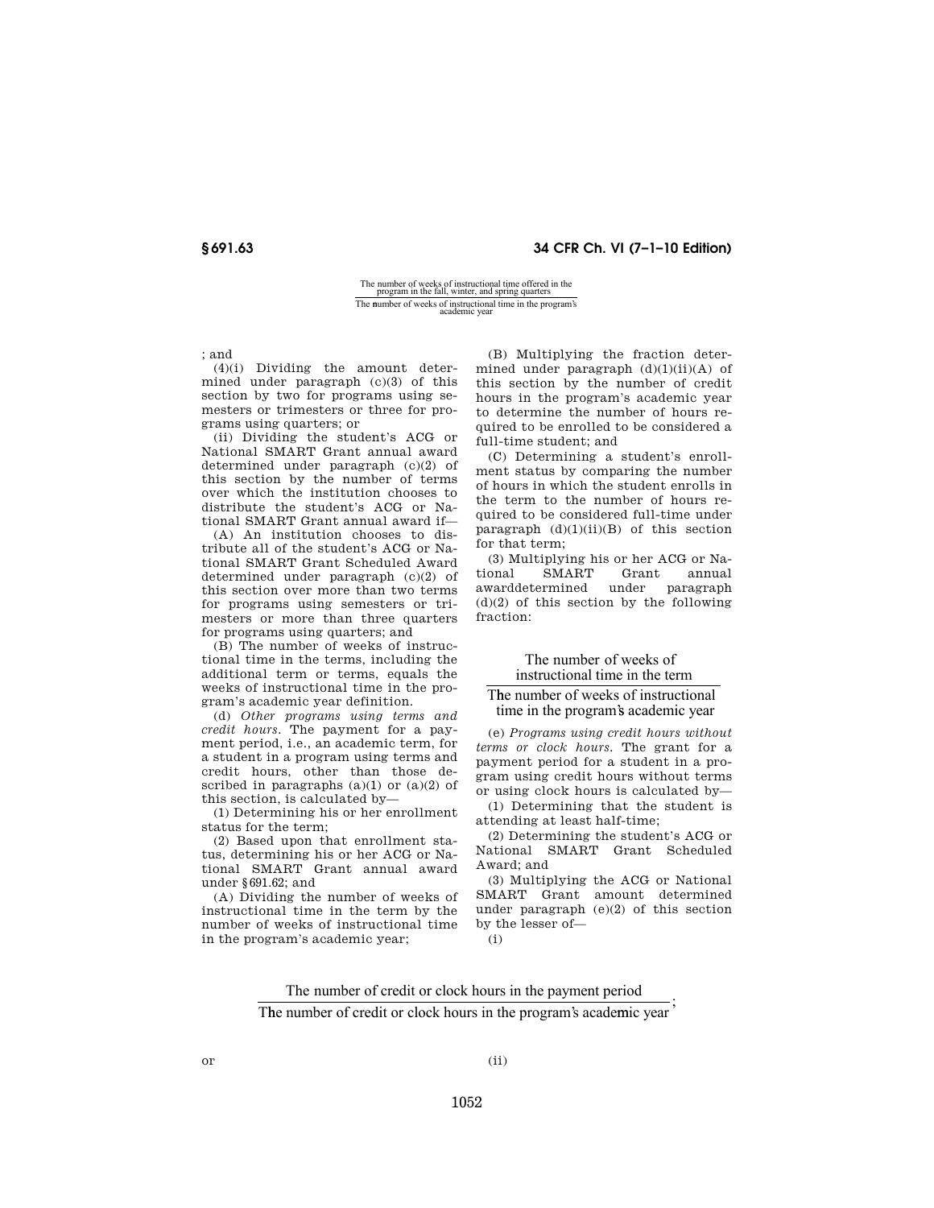## **§ 691.63 34 CFR Ch. VI (7–1–10 Edition)**

## The number of weeks of instructional time offered in the program in the fall, winter, and spring quarters The number of weeks of instructional time in the program's academic year

; and

(4)(i) Dividing the amount determined under paragraph (c)(3) of this section by two for programs using semesters or trimesters or three for programs using quarters; or

(ii) Dividing the student's ACG or National SMART Grant annual award determined under paragraph (c)(2) of this section by the number of terms over which the institution chooses to distribute the student's ACG or National SMART Grant annual award if—

(A) An institution chooses to distribute all of the student's ACG or National SMART Grant Scheduled Award determined under paragraph (c)(2) of this section over more than two terms for programs using semesters or trimesters or more than three quarters for programs using quarters; and

(B) The number of weeks of instructional time in the terms, including the additional term or terms, equals the weeks of instructional time in the program's academic year definition.

(d) *Other programs using terms and credit hours.* The payment for a payment period, i.e., an academic term, for a student in a program using terms and credit hours, other than those described in paragraphs  $(a)(1)$  or  $(a)(2)$  of this section, is calculated by—

(1) Determining his or her enrollment status for the term;

(2) Based upon that enrollment status, determining his or her ACG or National SMART Grant annual award under §691.62; and

(A) Dividing the number of weeks of instructional time in the term by the number of weeks of instructional time in the program's academic year;

(B) Multiplying the fraction determined under paragraph (d)(1)(ii)(A) of this section by the number of credit hours in the program's academic year to determine the number of hours required to be enrolled to be considered a full-time student; and

(C) Determining a student's enrollment status by comparing the number of hours in which the student enrolls in the term to the number of hours required to be considered full-time under paragraph  $(d)(1)(ii)(B)$  of this section for that term;

(3) Multiplying his or her ACG or National SMART Grant annual awarddetermined under paragraph  $(d)(2)$  of this section by the following fraction:

#### The number of weeks of instructional time in the term

### T he number of weeks of instructional time in the program's academic year

(e) *Programs using credit hours without terms or clock hours.* The grant for a payment period for a student in a program using credit hours without terms or using clock hours is calculated by—

(1) Determining that the student is attending at least half-time;

(2) Determining the student's ACG or National SMART Grant Scheduled Award; and

(3) Multiplying the ACG or National SMART Grant amount determined under paragraph (e)(2) of this section by the lesser of—

(i)

The number of credit or clock hours in the payment period

The number of credit or clock hours in the program's academic year

 $or$  (ii)